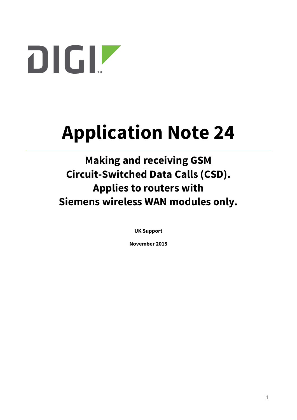

# **Application Note 24**

**Making and receiving GSM Circuit-Switched Data Calls (CSD). Applies to routers with Siemens wireless WAN modules only.**

**UK Support**

**November 2015**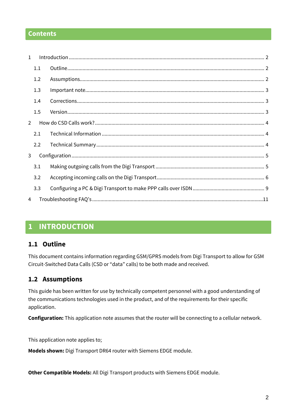#### **Contents**

| $\mathbf{1}$  |     |  |
|---------------|-----|--|
|               | 1.1 |  |
|               | 1.2 |  |
|               | 1.3 |  |
|               | 1.4 |  |
|               | 1.5 |  |
| $\mathcal{P}$ |     |  |
|               | 2.1 |  |
|               | 2.2 |  |
| 3             |     |  |
|               | 3.1 |  |
|               | 3.2 |  |
|               | 3.3 |  |
| 4             |     |  |

# <span id="page-1-0"></span>**1 INTRODUCTION**

#### <span id="page-1-1"></span>**1.1 Outline**

This document contains information regarding GSM/GPRS models from Digi Transport to allow for GSM Circuit-Switched Data Calls (CSD or "data" calls) to be both made and received.

#### <span id="page-1-2"></span>**1.2 Assumptions**

This guide has been written for use by technically competent personnel with a good understanding of the communications technologies used in the product, and of the requirements for their specific application.

**Configuration:** This application note assumes that the router will be connecting to a cellular network.

This application note applies to;

**Models shown:** Digi Transport DR64 router with Siemens EDGE module.

**Other Compatible Models:** All Digi Transport products with Siemens EDGE module.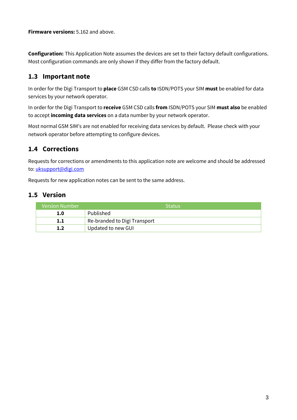**Firmware versions:** 5.162 and above.

**Configuration:** This Application Note assumes the devices are set to their factory default configurations. Most configuration commands are only shown if they differ from the factory default.

#### <span id="page-2-0"></span>**1.3 Important note**

In order for the Digi Transport to **place** GSM CSD calls **to** ISDN/POTS your SIM **must** be enabled for data services by your network operator.

In order for the Digi Transport to **receive** GSM CSD calls **from** ISDN/POTS your SIM **must also** be enabled to accept **incoming data services** on a data number by your network operator.

Most normal GSM SIM's are not enabled for receiving data services by default. Please check with your network operator before attempting to configure devices.

# <span id="page-2-1"></span>**1.4 Corrections**

Requests for corrections or amendments to this application note are welcome and should be addressed to[: uksupport@digi.com](mailto:uksupport@digi.com)

Requests for new application notes can be sent to the same address.

#### <span id="page-2-2"></span>**1.5 Version**

| <b>Version Number</b> | <b>Status</b>                |
|-----------------------|------------------------------|
| 1.0                   | Published                    |
| 1.1                   | Re-branded to Digi Transport |
| 1.2                   | Updated to new GUI           |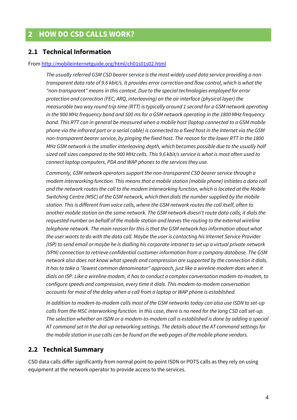# <span id="page-3-0"></span>**2 HOW DO CSD CALLS WORK?**

#### <span id="page-3-1"></span>**2.1 Technical Information**

#### Fro[m http://mobileinternetguide.org/html/ch01s01s02.html](http://mobileinternetguide.org/html/ch01s01s02.html)

*The usually referred GSM CSD bearer service is the most widely used data service providing a nontransparent data rate of 9.6 kbit/s. It provides error correction and flow control, which is what the "non-transparent" means in this context. Due to the special technologies employed for error protection and correction (FEC, ARQ, interleaving) on the air interface (physical layer) the measurable two way round trip time (RTT) is typically around 1 second for a GSM network operating in the 900 MHz frequency band and 500 ms for a GSM network operating in the 1800 MHz frequency band. This RTT can in general be measured when a mobile host (laptop connected to a GSM mobile phone via the infrared port or a serial cable) is connected to a fixed host in the Internet via the GSM non-transparent bearer service, by pinging the fixed host. The reason for the lower RTT in the 1800 MHz GSM network is the smaller interleaving depth, which becomes possible due to the usually half sized cell sizes compared to the 900 MHz cells. This 9.6 kbit/s service is what is most often used to connect laptop computers, PDA and WAP phones to the services they use.*

*Commonly, GSM network operators support the non-transparent CSD bearer service through a modem interworking function. This means that a mobile station (mobile phone) initiates a data call and the network routes the call to the modem interworking function, which is located at the Mobile Switching Centre (MSC) of the GSM network, which then dials the number supplied by the mobile station. This is different from voice calls, where the GSM network routes the call itself, often to another mobile station on the same network. The GSM network doesn't route data calls; it dials the requested number on behalf of the mobile station and leaves the routing to the external wireline telephone network. The main reason for this is that the GSM network has information about what the user wants to do with the data call. Maybe the user is contacting his Internet Service Provider (ISP) to send email or maybe he is dialling his corporate intranet to set up a virtual private network (VPN) connection to retrieve confidential customer information from a company database. The GSM network also does not know what speeds and compression are supported by the connection it dials. It has to take a "lowest common denominator" approach, just like a wireline modem does when it dials an ISP. Like a wireline modem, it has to conduct a complex conversation modem-to-modem, to configure speeds and compression, every time it dials. This modem-to-modem conversation accounts for most of the delay when a call from a laptop or WAP phone is established.*

*In addition to modem-to-modem calls most of the GSM networks today can also use ISDN to set-up calls from the MSC interworking function. In this case, there is no need for the long CSD call set-up. The selection whether an ISDN or a modem-to-modem call is established is done by adding a special AT command set in the dial-up networking settings. The details about the AT command settings for the mobile station in use calls can be found on the web pages of the mobile phone vendors.*

#### <span id="page-3-2"></span>**2.2 Technical Summary**

CSD data calls differ significantly from normal point-to-point ISDN or POTS calls as they rely on using equipment at the network operator to provide access to the services.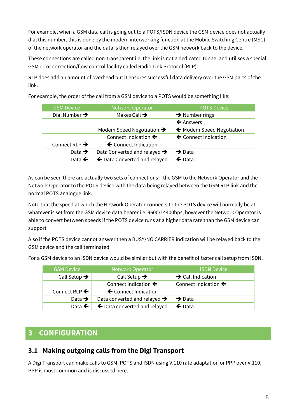For example, when a GSM data call is going out to a POTS/ISDN device the GSM device does not actually dial this number, this is done by the modem interworking function at the Mobile Switching Centre (MSC) of the network operator and the data is then relayed over the GSM network back to the device.

These connections are called non-transparent i.e. the link is not a dedicated tunnel and utilises a special GSM error correction/flow control facility called Radio Link Protocol (RLP).

RLP does add an amount of overhead but it ensures successful data delivery over the GSM parts of the link.

For example, the order of the call from a GSM device to a POTS would be something like:

| <b>GSM Device</b>         | <b>Network Operator</b>                  | <b>POTS Device</b>              |  |
|---------------------------|------------------------------------------|---------------------------------|--|
| Dial Number $\rightarrow$ | Makes Call $\rightarrow$                 | $\rightarrow$ Number rings      |  |
|                           |                                          | $\leftarrow$ Answers            |  |
|                           | Modem Speed Negotiation $\rightarrow$    | ← Modem Speed Negotiation       |  |
|                           | Connect Indication $\leftarrow$          | $\leftarrow$ Connect Indication |  |
| Connect RLP $\rightarrow$ | $\leftarrow$ Connect Indication          |                                 |  |
| Data $\rightarrow$        | Data Converted and relayed $\rightarrow$ | $\rightarrow$ Data              |  |
| Data $\leftarrow$         | ← Data Converted and relayed             | $\leftarrow$ Data               |  |

As can be seen there are actually two sets of connections – the GSM to the Network Operator and the Network Operator to the POTS device with the data being relayed between the GSM RLP link and the normal POTS analogue link.

Note that the speed at which the Network Operator connects to the POTS device will normally be at whatever is set from the GSM device data bearer i.e. 9600/14400bps, however the Network Operator is able to convert between speeds if the POTS device runs at a higher data rate than the GSM device can support.

Also if the POTS device cannot answer then a BUSY/NO CARRIER indication will be relayed back to the GSM device and the call terminated.

| <b>GSM Device</b>        | Network Operator                         | <b>ISDN Device</b>              |  |  |  |
|--------------------------|------------------------------------------|---------------------------------|--|--|--|
| Call Setup $\rightarrow$ | Call Setup $\rightarrow$                 | $\rightarrow$ Call Indication   |  |  |  |
|                          | Connect Indication $\leftarrow$          | Connect Indication $\leftarrow$ |  |  |  |
| Connect RLP $\leftarrow$ | $\leftarrow$ Connect Indication          |                                 |  |  |  |
| Data $\rightarrow$       | Data converted and relayed $\rightarrow$ | $\rightarrow$ Data              |  |  |  |
| Data $\leftarrow$        | $\leftarrow$ Data converted and relayed  | $\leftarrow$ Data               |  |  |  |

For a GSM device to an ISDN device would be similar but with the benefit of faster call setup from ISDN.

# <span id="page-4-0"></span>**3 CONFIGURATION**

# <span id="page-4-1"></span>**3.1 Making outgoing calls from the Digi Transport**

A Digi Transport can make calls to GSM, POTS and ISDN using V.110 rate adaptation or PPP over V.110, PPP is most common and is discussed here.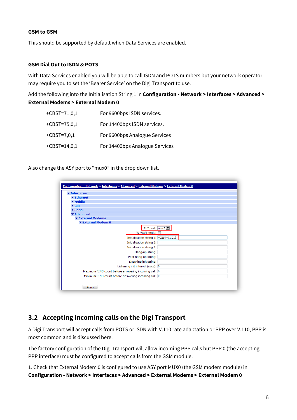#### **GSM to GSM**

This should be supported by default when Data Services are enabled.

#### **GSM Dial Out to ISDN & POTS**

With Data Services enabled you will be able to call ISDN and POTS numbers but your network operator may require you to set the 'Bearer Service' on the Digi Transport to use.

Add the following into the Initialisation String 1 in **Configuration - Network > Interfaces > Advanced > External Modems > External Modem 0**

| $+C\text{BST}=71,0,1$ | For 9600bps ISDN services.     |
|-----------------------|--------------------------------|
| $+CBST = 75,0,1$      | For 14400bps ISDN services.    |
| $+CBST=7,0,1$         | For 9600bps Analogue Services  |
| $+C$ BST=14,0,1       | For 14400bps Analogue Services |

Also change the ASY port to "mux0" in the drop down list.



#### <span id="page-5-0"></span>**3.2 Accepting incoming calls on the Digi Transport**

A Digi Transport will accept calls from POTS or ISDN with V.110 rate adaptation or PPP over V.110, PPP is most common and is discussed here.

The factory configuration of the Digi Transport will allow incoming PPP calls but PPP 0 (the accepting PPP interface) must be configured to accept calls from the GSM module.

1. Check that External Modem 0 is configured to use ASY port MUX0 (the GSM modem module) in **Configuration - Network > Interfaces > Advanced > External Modems > External Modem 0**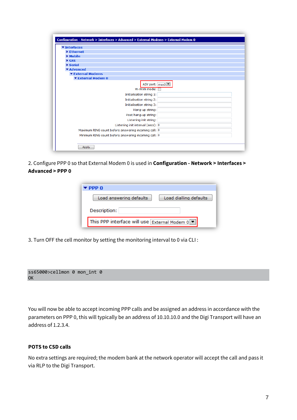| ▼ Interfaces                                         |  |
|------------------------------------------------------|--|
| Ethernet                                             |  |
| $\blacktriangleright$ Mobile                         |  |
| $\triangleright$ GRE                                 |  |
| $\blacktriangleright$ Serial                         |  |
| ▼ Advanced                                           |  |
| ▼ External Modems                                    |  |
| ▼ External Modem 0                                   |  |
| ASY port: mux0                                       |  |
| W-WAN mode:                                          |  |
| Initialisation string 1:                             |  |
| Initialisation string 2:                             |  |
| Initialisation string 3:                             |  |
| Hang-up string:                                      |  |
| Post hang-up string:                                 |  |
| Listening init string:                               |  |
| Listening init interval (secs): 0                    |  |
| Maximum RING count before answering incoming call: 0 |  |
|                                                      |  |
| Minimum RING count before answering incoming call: 0 |  |

2. Configure PPP 0 so that External Modem 0 is used in **Configuration - Network > Interfaces > Advanced > PPP 0**

| r PPP 0                                           |
|---------------------------------------------------|
| Load answering defaults<br>Load dialling defaults |
| Description:                                      |
| This PPP interface will use External Modem 0      |

3. Turn OFF the cell monitor by setting the monitoring interval to 0 via CLI :

| ss65000>cellmon 0 mon int 0 |  |
|-----------------------------|--|
| OK                          |  |

You will now be able to accept incoming PPP calls and be assigned an address in accordance with the parameters on PPP 0, this will typically be an address of 10.10.10.0 and the Digi Transport will have an address of 1.2.3.4.

#### **POTS to CSD calls**

No extra settings are required; the modem bank at the network operator will accept the call and pass it via RLP to the Digi Transport.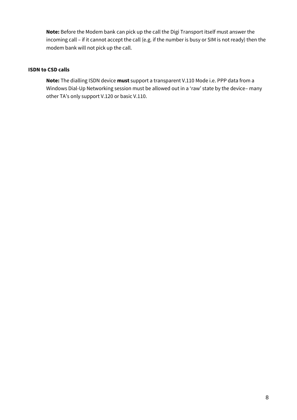**Note:** Before the Modem bank can pick up the call the Digi Transport itself must answer the incoming call – if it cannot accept the call (e.g. if the number is busy or SIM is not ready) then the modem bank will not pick up the call.

#### **ISDN to CSD calls**

**Note:** The dialling ISDN device **must** support a transparent V.110 Mode i.e. PPP data from a Windows Dial-Up Networking session must be allowed out in a 'raw' state by the device– many other TA's only support V.120 or basic V.110.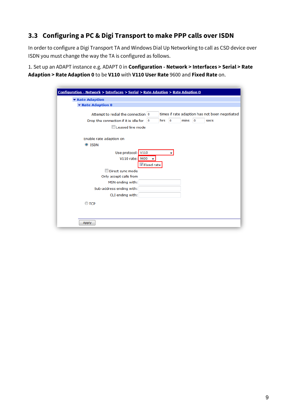# <span id="page-8-0"></span>**3.3 Configuring a PC & Digi Transport to make PPP calls over ISDN**

In order to configure a Digi Transport TA and Windows Dial Up Networking to call as CSD device over ISDN you must change the way the TA is configured as follows.

1. Set up an ADAPT instance e.g. ADAPT 0 in **Configuration - Network > Interfaces > Serial > Rate Adaption > Rate Adaption 0** to be **V110** with **V110 User Rate** 9600 and **Fixed Rate** on.

| <b>Configuration - Network &gt; Interfaces &gt; Serial &gt; Rate Adaption &gt; Rate Adaption 0</b> |                         |         |  |      |                |                                                |
|----------------------------------------------------------------------------------------------------|-------------------------|---------|--|------|----------------|------------------------------------------------|
| ▼ Rate Adaption                                                                                    |                         |         |  |      |                |                                                |
| ▼ Rate Adaption 0                                                                                  |                         |         |  |      |                |                                                |
|                                                                                                    |                         |         |  |      |                | times if rate adaption has not been negotiated |
| Attempt to redial the connection 0                                                                 |                         |         |  |      |                |                                                |
| Drop the connection if it is idle for                                                              | $\overline{\mathbf{0}}$ | $hrs$ 0 |  | mins | $\overline{0}$ | secs                                           |
| $\Box$ Leased line mode                                                                            |                         |         |  |      |                |                                                |
|                                                                                                    |                         |         |  |      |                |                                                |
| Enable rate adaption on                                                                            |                         |         |  |      |                |                                                |
| $\odot$ ISDN                                                                                       |                         |         |  |      |                |                                                |
|                                                                                                    | Use protocol: V110      |         |  |      |                |                                                |
| V110 rate: 9600                                                                                    |                         |         |  |      |                |                                                |
| <b>V</b> Fixed rate                                                                                |                         |         |  |      |                |                                                |
| Direct sync mode                                                                                   |                         |         |  |      |                |                                                |
| Only accept calls from                                                                             |                         |         |  |      |                |                                                |
| MSN ending with:                                                                                   |                         |         |  |      |                |                                                |
| Sub-address ending with:                                                                           |                         |         |  |      |                |                                                |
|                                                                                                    |                         |         |  |      |                |                                                |
|                                                                                                    |                         |         |  |      |                |                                                |
|                                                                                                    |                         |         |  |      |                |                                                |
|                                                                                                    |                         |         |  |      |                |                                                |
|                                                                                                    |                         |         |  |      |                |                                                |
| <b>Apply</b>                                                                                       |                         |         |  |      |                |                                                |
| CLI ending with:<br>$\odot$ TCP                                                                    |                         |         |  |      |                |                                                |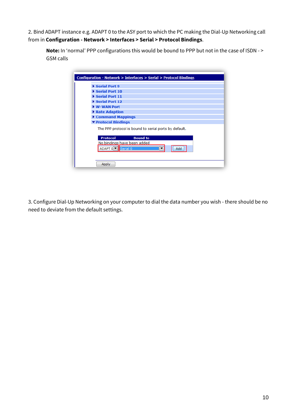2. Bind ADAPT instance e.g. ADAPT 0 to the ASY port to which the PC making the Dial-Up Networking call from in **Configuration - Network > Interfaces > Serial > Protocol Bindings**.

**Note:** In 'normal' PPP configurations this would be bound to PPP but not in the case of ISDN - > GSM calls

| Configuration - Network > Interfaces > Serial > Protocol Bindings |
|-------------------------------------------------------------------|
| Serial Port 9                                                     |
| Serial Port 10                                                    |
| Serial Port 11                                                    |
| Serial Port 12                                                    |
| W-WAN Port                                                        |
| Rate Adaption                                                     |
| Command Mappings                                                  |
| ▼ Protocol Bindings                                               |
| The PPP protocol is bound to serial ports by default.             |
| <b>Bound to</b><br><b>Protocol</b>                                |
| No bindings have been added<br>Serial 0<br>ADAPT 0<br>Add         |
| Apply                                                             |

3. Configure Dial-Up Networking on your computer to dial the data number you wish - there should be no need to deviate from the default settings.